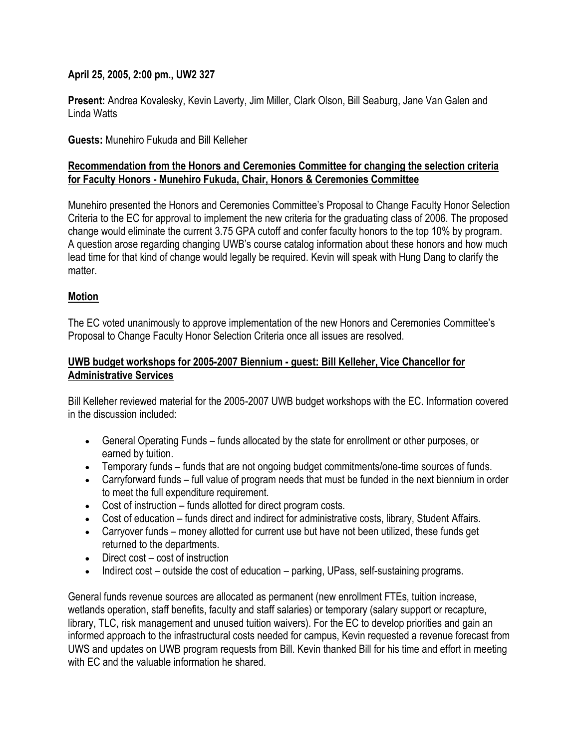## **April 25, 2005, 2:00 pm., UW2 327**

**Present:** Andrea Kovalesky, Kevin Laverty, Jim Miller, Clark Olson, Bill Seaburg, Jane Van Galen and Linda Watts

**Guests:** Munehiro Fukuda and Bill Kelleher

## **Recommendation from the Honors and Ceremonies Committee for changing the selection criteria for Faculty Honors - Munehiro Fukuda, Chair, Honors & Ceremonies Committee**

Munehiro presented the Honors and Ceremonies Committee's Proposal to Change Faculty Honor Selection Criteria to the EC for approval to implement the new criteria for the graduating class of 2006. The proposed change would eliminate the current 3.75 GPA cutoff and confer faculty honors to the top 10% by program. A question arose regarding changing UWB's course catalog information about these honors and how much lead time for that kind of change would legally be required. Kevin will speak with Hung Dang to clarify the matter

## **Motion**

The EC voted unanimously to approve implementation of the new Honors and Ceremonies Committee's Proposal to Change Faculty Honor Selection Criteria once all issues are resolved.

## **UWB budget workshops for 2005-2007 Biennium - guest: Bill Kelleher, Vice Chancellor for Administrative Services**

Bill Kelleher reviewed material for the 2005-2007 UWB budget workshops with the EC. Information covered in the discussion included:

- General Operating Funds funds allocated by the state for enrollment or other purposes, or earned by tuition.
- Temporary funds funds that are not ongoing budget commitments/one-time sources of funds.
- Carryforward funds full value of program needs that must be funded in the next biennium in order to meet the full expenditure requirement.
- Cost of instruction funds allotted for direct program costs.
- Cost of education funds direct and indirect for administrative costs, library, Student Affairs.
- Carryover funds money allotted for current use but have not been utilized, these funds get returned to the departments.
- Direct cost cost of instruction
- Indirect cost outside the cost of education parking, UPass, self-sustaining programs.

General funds revenue sources are allocated as permanent (new enrollment FTEs, tuition increase, wetlands operation, staff benefits, faculty and staff salaries) or temporary (salary support or recapture, library, TLC, risk management and unused tuition waivers). For the EC to develop priorities and gain an informed approach to the infrastructural costs needed for campus, Kevin requested a revenue forecast from UWS and updates on UWB program requests from Bill. Kevin thanked Bill for his time and effort in meeting with EC and the valuable information he shared.